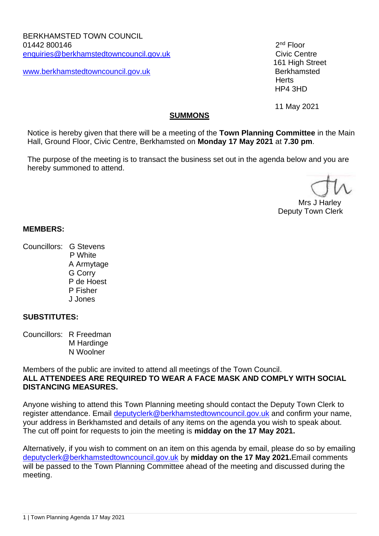[www.berkhamstedtowncouncil.gov.uk](http://www.berkhamstedtowncouncil.gov.uk/) Berkhamsted

 $2<sup>nd</sup>$  Floor 161 High Street **Herts** HP4 3HD

11 May 2021

#### **SUMMONS**

Notice is hereby given that there will be a meeting of the **Town Planning Committee** in the Main Hall, Ground Floor, Civic Centre, Berkhamsted on **Monday 17 May 2021** at **7.30 pm**.

The purpose of the meeting is to transact the business set out in the agenda below and you are hereby summoned to attend.

 Mrs J Harley Deputy Town Clerk

#### **MEMBERS:**

Councillors: G Stevens P White A Armytage G Corry P de Hoest P Fisher

J Jones

# **SUBSTITUTES:**

Councillors: R Freedman M Hardinge N Woolner

Members of the public are invited to attend all meetings of the Town Council. **ALL ATTENDEES ARE REQUIRED TO WEAR A FACE MASK AND COMPLY WITH SOCIAL DISTANCING MEASURES.** 

Anyone wishing to attend this Town Planning meeting should contact the Deputy Town Clerk to register attendance. Email [deputyclerk@berkhamstedtowncouncil.gov.uk](mailto:deputyclerk@berkhamstedtowncouncil.gov.uk) and confirm your name, your address in Berkhamsted and details of any items on the agenda you wish to speak about. The cut off point for requests to join the meeting is **midday on the 17 May 2021.**

Alternatively, if you wish to comment on an item on this agenda by email, please do so by emailing [deputyclerk@berkhamstedtowncouncil.gov.uk](mailto:deputyclerk@berkhamstedtowncouncil.gov.uk) by **midday on the 17 May 2021.**Email comments will be passed to the Town Planning Committee ahead of the meeting and discussed during the meeting.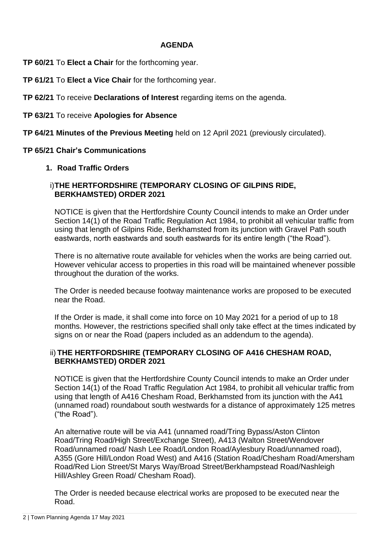#### **AGENDA**

**TP 60/21** To **Elect a Chair** for the forthcoming year.

**TP 61/21** To **Elect a Vice Chair** for the forthcoming year.

**TP 62/21** To receive **Declarations of Interest** regarding items on the agenda.

**TP 63/21** To receive **Apologies for Absence**

**TP 64/21 Minutes of the Previous Meeting** held on 12 April 2021 (previously circulated).

#### **TP 65/21 Chair's Communications**

### **1. Road Traffic Orders**

### i)**THE HERTFORDSHIRE (TEMPORARY CLOSING OF GILPINS RIDE, BERKHAMSTED) ORDER 2021**

NOTICE is given that the Hertfordshire County Council intends to make an Order under Section 14(1) of the Road Traffic Regulation Act 1984, to prohibit all vehicular traffic from using that length of Gilpins Ride, Berkhamsted from its junction with Gravel Path south eastwards, north eastwards and south eastwards for its entire length ("the Road").

There is no alternative route available for vehicles when the works are being carried out. However vehicular access to properties in this road will be maintained whenever possible throughout the duration of the works.

The Order is needed because footway maintenance works are proposed to be executed near the Road.

If the Order is made, it shall come into force on 10 May 2021 for a period of up to 18 months. However, the restrictions specified shall only take effect at the times indicated by signs on or near the Road (papers included as an addendum to the agenda).

### ii) **THE HERTFORDSHIRE (TEMPORARY CLOSING OF A416 CHESHAM ROAD, BERKHAMSTED) ORDER 2021**

NOTICE is given that the Hertfordshire County Council intends to make an Order under Section 14(1) of the Road Traffic Regulation Act 1984, to prohibit all vehicular traffic from using that length of A416 Chesham Road, Berkhamsted from its junction with the A41 (unnamed road) roundabout south westwards for a distance of approximately 125 metres ("the Road").

An alternative route will be via A41 (unnamed road/Tring Bypass/Aston Clinton Road/Tring Road/High Street/Exchange Street), A413 (Walton Street/Wendover Road/unnamed road/ Nash Lee Road/London Road/Aylesbury Road/unnamed road), A355 (Gore Hill/London Road West) and A416 (Station Road/Chesham Road/Amersham Road/Red Lion Street/St Marys Way/Broad Street/Berkhampstead Road/Nashleigh Hill/Ashley Green Road/ Chesham Road).

The Order is needed because electrical works are proposed to be executed near the Road.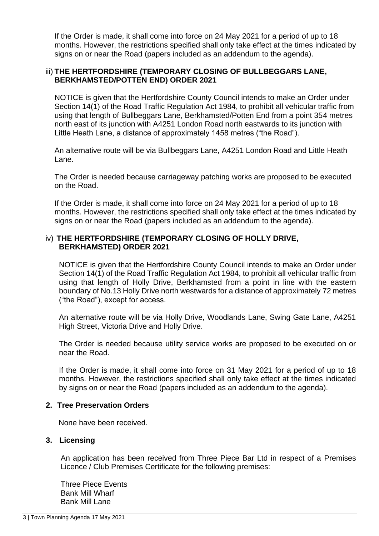If the Order is made, it shall come into force on 24 May 2021 for a period of up to 18 months. However, the restrictions specified shall only take effect at the times indicated by signs on or near the Road (papers included as an addendum to the agenda).

### iii) **THE HERTFORDSHIRE (TEMPORARY CLOSING OF BULLBEGGARS LANE, BERKHAMSTED/POTTEN END) ORDER 2021**

NOTICE is given that the Hertfordshire County Council intends to make an Order under Section 14(1) of the Road Traffic Regulation Act 1984, to prohibit all vehicular traffic from using that length of Bullbeggars Lane, Berkhamsted/Potten End from a point 354 metres north east of its junction with A4251 London Road north eastwards to its junction with Little Heath Lane, a distance of approximately 1458 metres ("the Road").

An alternative route will be via Bullbeggars Lane, A4251 London Road and Little Heath Lane.

The Order is needed because carriageway patching works are proposed to be executed on the Road.

If the Order is made, it shall come into force on 24 May 2021 for a period of up to 18 months. However, the restrictions specified shall only take effect at the times indicated by signs on or near the Road (papers included as an addendum to the agenda).

#### iv) **THE HERTFORDSHIRE (TEMPORARY CLOSING OF HOLLY DRIVE, BERKHAMSTED) ORDER 2021**

NOTICE is given that the Hertfordshire County Council intends to make an Order under Section 14(1) of the Road Traffic Regulation Act 1984, to prohibit all vehicular traffic from using that length of Holly Drive, Berkhamsted from a point in line with the eastern boundary of No.13 Holly Drive north westwards for a distance of approximately 72 metres ("the Road"), except for access.

An alternative route will be via Holly Drive, Woodlands Lane, Swing Gate Lane, A4251 High Street, Victoria Drive and Holly Drive.

The Order is needed because utility service works are proposed to be executed on or near the Road.

If the Order is made, it shall come into force on 31 May 2021 for a period of up to 18 months. However, the restrictions specified shall only take effect at the times indicated by signs on or near the Road (papers included as an addendum to the agenda).

#### **2. Tree Preservation Orders**

None have been received.

### **3. Licensing**

An application has been received from Three Piece Bar Ltd in respect of a Premises Licence / Club Premises Certificate for the following premises:

Three Piece Events Bank Mill Wharf Bank Mill Lane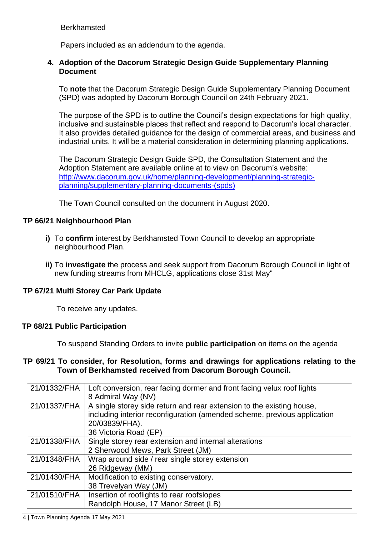Berkhamsted

Papers included as an addendum to the agenda.

### **4. Adoption of the Dacorum Strategic Design Guide Supplementary Planning Document**

To **note** that the Dacorum Strategic Design Guide Supplementary Planning Document (SPD) was adopted by Dacorum Borough Council on 24th February 2021.

The purpose of the SPD is to outline the Council's design expectations for high quality, inclusive and sustainable places that reflect and respond to Dacorum's local character. It also provides detailed guidance for the design of commercial areas, and business and industrial units. It will be a material consideration in determining planning applications.

The Dacorum Strategic Design Guide SPD, the Consultation Statement and the Adoption Statement are available online at to view on Dacorum's website: [http://www.dacorum.gov.uk/home/planning-development/planning-strategic](http://www.dacorum.gov.uk/home/planning-development/planning-strategic-planning/supplementary-planning-documents-(spds))[planning/supplementary-planning-documents-\(spds\)](http://www.dacorum.gov.uk/home/planning-development/planning-strategic-planning/supplementary-planning-documents-(spds))

The Town Council consulted on the document in August 2020.

### **TP 66/21 Neighbourhood Plan**

- **i)** To **confirm** interest by Berkhamsted Town Council to develop an appropriate neighbourhood Plan.
- **ii)** To **investigate** the process and seek support from Dacorum Borough Council in light of new funding streams from MHCLG, applications close 31st May"

### **TP 67/21 Multi Storey Car Park Update**

To receive any updates.

#### **TP 68/21 Public Participation**

To suspend Standing Orders to invite **public participation** on items on the agenda

#### **TP 69/21 To consider, for Resolution, forms and drawings for applications relating to the Town of Berkhamsted received from Dacorum Borough Council.**

| 21/01332/FHA | Loft conversion, rear facing dormer and front facing velux roof lights<br>8 Admiral Way (NV)                                                                                                 |
|--------------|----------------------------------------------------------------------------------------------------------------------------------------------------------------------------------------------|
| 21/01337/FHA | A single storey side return and rear extension to the existing house,<br>including interior reconfiguration (amended scheme, previous application<br>20/03839/FHA).<br>36 Victoria Road (EP) |
| 21/01338/FHA | Single storey rear extension and internal alterations<br>2 Sherwood Mews, Park Street (JM)                                                                                                   |
| 21/01348/FHA | Wrap around side / rear single storey extension<br>26 Ridgeway (MM)                                                                                                                          |
| 21/01430/FHA | Modification to existing conservatory.<br>38 Trevelyan Way (JM)                                                                                                                              |
| 21/01510/FHA | Insertion of rooflights to rear roofslopes<br>Randolph House, 17 Manor Street (LB)                                                                                                           |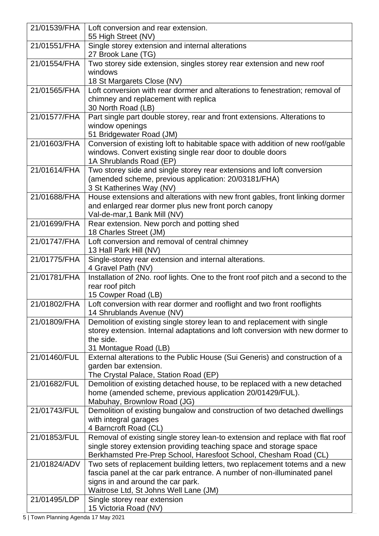| 21/01539/FHA | Loft conversion and rear extension.                                                                                |
|--------------|--------------------------------------------------------------------------------------------------------------------|
|              | 55 High Street (NV)                                                                                                |
| 21/01551/FHA | Single storey extension and internal alterations<br>27 Brook Lane (TG)                                             |
| 21/01554/FHA | Two storey side extension, singles storey rear extension and new roof                                              |
|              | windows                                                                                                            |
|              | 18 St Margarets Close (NV)                                                                                         |
| 21/01565/FHA | Loft conversion with rear dormer and alterations to fenestration; removal of                                       |
|              | chimney and replacement with replica                                                                               |
|              | 30 North Road (LB)                                                                                                 |
| 21/01577/FHA | Part single part double storey, rear and front extensions. Alterations to                                          |
|              | window openings                                                                                                    |
|              | 51 Bridgewater Road (JM)                                                                                           |
| 21/01603/FHA | Conversion of existing loft to habitable space with addition of new roof/gable                                     |
|              | windows. Convert existing single rear door to double doors<br>1A Shrublands Road (EP)                              |
| 21/01614/FHA | Two storey side and single storey rear extensions and loft conversion                                              |
|              | (amended scheme, previous application: 20/03181/FHA)                                                               |
|              | 3 St Katherines Way (NV)                                                                                           |
| 21/01688/FHA | House extensions and alterations with new front gables, front linking dormer                                       |
|              | and enlarged rear dormer plus new front porch canopy                                                               |
|              | Val-de-mar, 1 Bank Mill (NV)                                                                                       |
| 21/01699/FHA | Rear extension. New porch and potting shed                                                                         |
|              | 18 Charles Street (JM)                                                                                             |
| 21/01747/FHA | Loft conversion and removal of central chimney                                                                     |
|              | 13 Hall Park Hill (NV)                                                                                             |
| 21/01775/FHA | Single-storey rear extension and internal alterations.                                                             |
|              | 4 Gravel Path (NV)                                                                                                 |
| 21/01781/FHA | Installation of 2No. roof lights. One to the front roof pitch and a second to the                                  |
|              | rear roof pitch<br>15 Cowper Road (LB)                                                                             |
| 21/01802/FHA | Loft conversion with rear dormer and rooflight and two front rooflights                                            |
|              | 14 Shrublands Avenue (NV)                                                                                          |
| 21/01809/FHA | Demolition of existing single storey lean to and replacement with single                                           |
|              | storey extension. Internal adaptations and loft conversion with new dormer to                                      |
|              | the side.                                                                                                          |
|              | 31 Montague Road (LB)                                                                                              |
| 21/01460/FUL | External alterations to the Public House (Sui Generis) and construction of a                                       |
|              | garden bar extension.                                                                                              |
| 21/01682/FUL | The Crystal Palace, Station Road (EP)<br>Demolition of existing detached house, to be replaced with a new detached |
|              | home (amended scheme, previous application 20/01429/FUL).                                                          |
|              | Mabuhay, Brownlow Road (JG)                                                                                        |
| 21/01743/FUL | Demolition of existing bungalow and construction of two detached dwellings                                         |
|              | with integral garages                                                                                              |
|              | 4 Barncroft Road (CL)                                                                                              |
| 21/01853/FUL | Removal of existing single storey lean-to extension and replace with flat roof                                     |
|              | single storey extension providing teaching space and storage space                                                 |
|              | Berkhamsted Pre-Prep School, Haresfoot School, Chesham Road (CL)                                                   |
| 21/01824/ADV | Two sets of replacement building letters, two replacement totems and a new                                         |
|              | fascia panel at the car park entrance. A number of non-illuminated panel                                           |
|              | signs in and around the car park.                                                                                  |
| 21/01495/LDP | Waitrose Ltd, St Johns Well Lane (JM)                                                                              |
|              | Single storey rear extension<br>15 Victoria Road (NV)                                                              |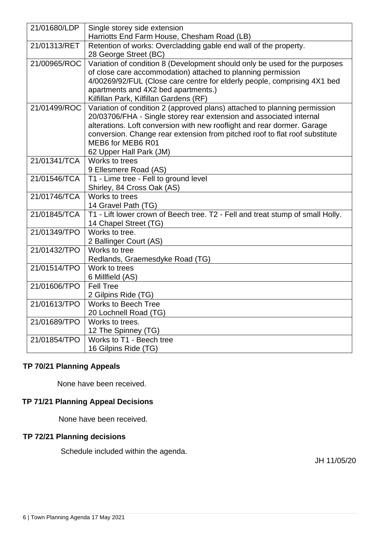| 21/01680/LDP | Single storey side extension                                                                     |
|--------------|--------------------------------------------------------------------------------------------------|
|              | Harriotts End Farm House, Chesham Road (LB)                                                      |
| 21/01313/RET | Retention of works: Overcladding gable end wall of the property.                                 |
|              | 28 George Street (BC)                                                                            |
| 21/00965/ROC | Variation of condition 8 (Development should only be used for the purposes                       |
|              | of close care accommodation) attached to planning permission                                     |
|              | 4/00269/92/FUL (Close care centre for elderly people, comprising 4X1 bed                         |
|              | apartments and 4X2 bed apartments.)                                                              |
|              | Kilfillan Park, Kilfillan Gardens (RF)                                                           |
| 21/01499/ROC | Variation of condition 2 (approved plans) attached to planning permission                        |
|              | 20/03706/FHA - Single storey rear extension and associated internal                              |
|              | alterations. Loft conversion with new rooflight and rear dormer. Garage                          |
|              | conversion. Change rear extension from pitched roof to flat roof substitute<br>MEB6 for MEB6 R01 |
|              | 62 Upper Hall Park (JM)                                                                          |
| 21/01341/TCA | Works to trees                                                                                   |
|              | 9 Ellesmere Road (AS)                                                                            |
| 21/01546/TCA | T1 - Lime tree - Fell to ground level                                                            |
|              | Shirley, 84 Cross Oak (AS)                                                                       |
| 21/01746/TCA | Works to trees                                                                                   |
|              | 14 Gravel Path (TG)                                                                              |
| 21/01845/TCA | T1 - Lift lower crown of Beech tree. T2 - Fell and treat stump of small Holly.                   |
|              | 14 Chapel Street (TG)                                                                            |
| 21/01349/TPO | Works to tree.                                                                                   |
|              | 2 Ballinger Court (AS)                                                                           |
| 21/01432/TPO | Works to tree                                                                                    |
|              | Redlands, Graemesdyke Road (TG)                                                                  |
| 21/01514/TPO | Work to trees                                                                                    |
|              | 6 Millfield (AS)                                                                                 |
| 21/01606/TPO | <b>Fell Tree</b>                                                                                 |
|              | 2 Gilpins Ride (TG)                                                                              |
| 21/01613/TPO | <b>Works to Beech Tree</b>                                                                       |
|              | 20 Lochnell Road (TG)                                                                            |
| 21/01689/TPO | Works to trees.                                                                                  |
|              | 12 The Spinney (TG)                                                                              |
| 21/01854/TPO | Works to T1 - Beech tree                                                                         |
|              | 16 Gilpins Ride (TG)                                                                             |

### **TP 70/21 Planning Appeals**

None have been received.

# **TP 71/21 Planning Appeal Decisions**

None have been received.

# **TP 72/21 Planning decisions**

Schedule included within the agenda.

JH 11/05/20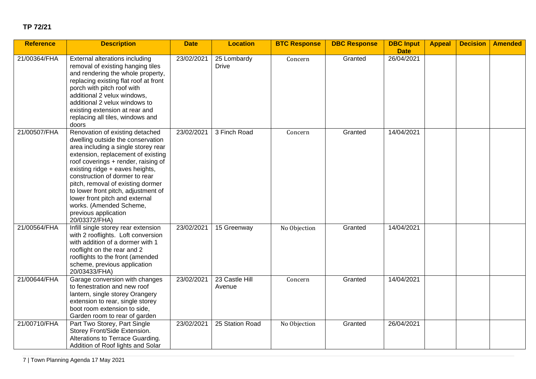### **TP 72/21**

| <b>Reference</b> | <b>Description</b>                                                                                                                                                                                                                                                                                                                                                                                                                              | <b>Date</b> | <b>Location</b>             | <b>BTC Response</b> | <b>DBC Response</b> | <b>DBC Input</b><br><b>Date</b> | <b>Appeal</b> | <b>Decision</b> | <b>Amended</b> |
|------------------|-------------------------------------------------------------------------------------------------------------------------------------------------------------------------------------------------------------------------------------------------------------------------------------------------------------------------------------------------------------------------------------------------------------------------------------------------|-------------|-----------------------------|---------------------|---------------------|---------------------------------|---------------|-----------------|----------------|
| 21/00364/FHA     | External alterations including<br>removal of existing hanging tiles<br>and rendering the whole property,<br>replacing existing flat roof at front<br>porch with pitch roof with<br>additional 2 velux windows,<br>additional 2 velux windows to<br>existing extension at rear and<br>replacing all tiles, windows and<br>doors                                                                                                                  | 23/02/2021  | 25 Lombardy<br><b>Drive</b> | Concern             | Granted             | 26/04/2021                      |               |                 |                |
| 21/00507/FHA     | Renovation of existing detached<br>dwelling outside the conservation<br>area including a single storey rear<br>extension, replacement of existing<br>roof coverings + render, raising of<br>existing ridge + eaves heights,<br>construction of dormer to rear<br>pitch, removal of existing dormer<br>to lower front pitch, adjustment of<br>lower front pitch and external<br>works. (Amended Scheme,<br>previous application<br>20/03372/FHA) | 23/02/2021  | 3 Finch Road                | Concern             | Granted             | 14/04/2021                      |               |                 |                |
| 21/00564/FHA     | Infill single storey rear extension<br>with 2 rooflights. Loft conversion<br>with addition of a dormer with 1<br>rooflight on the rear and 2<br>rooflights to the front (amended<br>scheme, previous application<br>20/03433/FHA)                                                                                                                                                                                                               | 23/02/2021  | 15 Greenway                 | No Objection        | Granted             | 14/04/2021                      |               |                 |                |
| 21/00644/FHA     | Garage conversion with changes<br>to fenestration and new roof<br>lantern, single storey Orangery<br>extension to rear, single storey<br>boot room extension to side,<br>Garden room to rear of garden                                                                                                                                                                                                                                          | 23/02/2021  | 23 Castle Hill<br>Avenue    | Concern             | Granted             | 14/04/2021                      |               |                 |                |
| 21/00710/FHA     | Part Two Storey, Part Single<br>Storey Front/Side Extension.<br>Alterations to Terrace Guarding.<br>Addition of Roof lights and Solar                                                                                                                                                                                                                                                                                                           | 23/02/2021  | 25 Station Road             | No Objection        | Granted             | 26/04/2021                      |               |                 |                |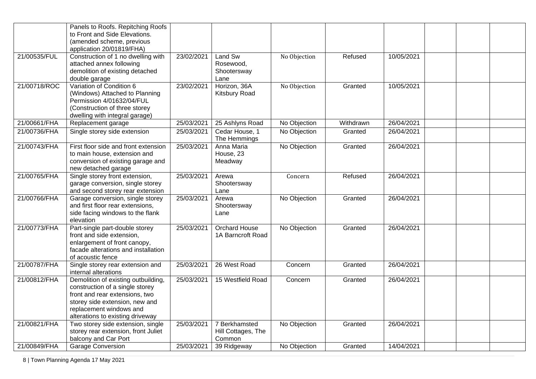|              | Panels to Roofs. Repitching Roofs<br>to Front and Side Elevations.<br>(amended scheme, previous                                                                                                           |            |                                               |              |           |            |  |  |
|--------------|-----------------------------------------------------------------------------------------------------------------------------------------------------------------------------------------------------------|------------|-----------------------------------------------|--------------|-----------|------------|--|--|
|              | application 20/01819/FHA)                                                                                                                                                                                 |            |                                               |              |           |            |  |  |
| 21/00535/FUL | Construction of 1 no dwelling with<br>attached annex following<br>demolition of existing detached<br>double garage                                                                                        | 23/02/2021 | Land Sw<br>Rosewood,<br>Shootersway<br>Lane   | No Objection | Refused   | 10/05/2021 |  |  |
| 21/00718/ROC | Variation of Condition 6<br>(Windows) Attached to Planning<br>Permission 4/01632/04/FUL<br>(Construction of three storey<br>dwelling with integral garage)                                                | 23/02/2021 | Horizon, 36A<br>Kitsbury Road                 | No Objection | Granted   | 10/05/2021 |  |  |
| 21/00661/FHA | Replacement garage                                                                                                                                                                                        | 25/03/2021 | 25 Ashlyns Road                               | No Objection | Withdrawn | 26/04/2021 |  |  |
| 21/00736/FHA | Single storey side extension                                                                                                                                                                              | 25/03/2021 | Cedar House, 1<br>The Hemmings                | No Objection | Granted   | 26/04/2021 |  |  |
| 21/00743/FHA | First floor side and front extension<br>to main house, extension and<br>conversion of existing garage and<br>new detached garage                                                                          | 25/03/2021 | Anna Maria<br>House, 23<br>Meadway            | No Objection | Granted   | 26/04/2021 |  |  |
| 21/00765/FHA | Single storey front extension,<br>garage conversion, single storey<br>and second storey rear extension                                                                                                    | 25/03/2021 | Arewa<br>Shootersway<br>Lane                  | Concern      | Refused   | 26/04/2021 |  |  |
| 21/00766/FHA | Garage conversion, single storey<br>and first floor rear extensions,<br>side facing windows to the flank<br>elevation                                                                                     | 25/03/2021 | Arewa<br>Shootersway<br>Lane                  | No Objection | Granted   | 26/04/2021 |  |  |
| 21/00773/FHA | Part-single part-double storey<br>front and side extension,<br>enlargement of front canopy,<br>facade alterations and installation<br>of acoustic fence                                                   | 25/03/2021 | Orchard House<br>1A Barncroft Road            | No Objection | Granted   | 26/04/2021 |  |  |
| 21/00787/FHA | Single storey rear extension and<br>internal alterations                                                                                                                                                  | 25/03/2021 | 26 West Road                                  | Concern      | Granted   | 26/04/2021 |  |  |
| 21/00812/FHA | Demolition of existing outbuilding,<br>construction of a single storey<br>front and rear extensions, two<br>storey side extension, new and<br>replacement windows and<br>alterations to existing driveway | 25/03/2021 | 15 Westfield Road                             | Concern      | Granted   | 26/04/2021 |  |  |
| 21/00821/FHA | Two storey side extension, single<br>storey rear extension, front Juliet<br>balcony and Car Port                                                                                                          | 25/03/2021 | 7 Berkhamsted<br>Hill Cottages, The<br>Common | No Objection | Granted   | 26/04/2021 |  |  |
| 21/00849/FHA | <b>Garage Conversion</b>                                                                                                                                                                                  | 25/03/2021 | 39 Ridgeway                                   | No Objection | Granted   | 14/04/2021 |  |  |

8 | Town Planning Agenda 17 May 2021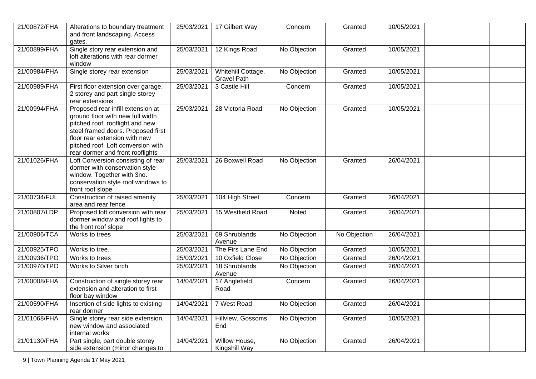| 21/00872/FHA | Alterations to boundary treatment<br>and front landscaping. Access<br>gates.                                                                                                                                                                              | 25/03/2021 | 17 Gilbert Way                           | Concern      | Granted      | 10/05/2021 |  |
|--------------|-----------------------------------------------------------------------------------------------------------------------------------------------------------------------------------------------------------------------------------------------------------|------------|------------------------------------------|--------------|--------------|------------|--|
| 21/00899/FHA | Single story rear extension and<br>loft alterations with rear dormer<br>window                                                                                                                                                                            | 25/03/2021 | 12 Kings Road                            | No Objection | Granted      | 10/05/2021 |  |
| 21/00984/FHA | Single storey rear extension                                                                                                                                                                                                                              | 25/03/2021 | Whitehill Cottage,<br><b>Gravel Path</b> | No Objection | Granted      | 10/05/2021 |  |
| 21/00989/FHA | First floor extension over garage,<br>2 storey and part single storey<br>rear extensions                                                                                                                                                                  | 25/03/2021 | 3 Castle Hill                            | Concern      | Granted      | 10/05/2021 |  |
| 21/00994/FHA | Proposed rear infill extension at<br>ground floor with new full width<br>pitched roof, rooflight and new<br>steel framed doors. Proposed first<br>floor rear extension with new<br>pitched roof. Loft conversion with<br>rear dormer and front rooflights | 25/03/2021 | 28 Victoria Road                         | No Objection | Granted      | 10/05/2021 |  |
| 21/01026/FHA | Loft Conversion consisting of rear<br>dormer with conservation style<br>window. Together with 3no.<br>conservation style roof windows to<br>front roof slope                                                                                              | 25/03/2021 | 26 Boxwell Road                          | No Objection | Granted      | 26/04/2021 |  |
| 21/00734/FUL | Construction of raised amenity<br>area and rear fence                                                                                                                                                                                                     | 25/03/2021 | 104 High Street                          | Concern      | Granted      | 26/04/2021 |  |
| 21/00807/LDP | Proposed loft conversion with rear<br>dormer window and roof lights to<br>the front roof slope                                                                                                                                                            | 25/03/2021 | 15 Westfield Road                        | Noted        | Granted      | 26/04/2021 |  |
| 21/00906/TCA | Works to trees                                                                                                                                                                                                                                            | 25/03/2021 | 69 Shrublands<br>Avenue                  | No Objection | No Objection | 26/04/2021 |  |
| 21/00925/TPO | Works to tree.                                                                                                                                                                                                                                            | 25/03/2021 | The Firs Lane End                        | No Objection | Granted      | 10/05/2021 |  |
| 21/00936/TPO | Works to trees                                                                                                                                                                                                                                            | 25/03/2021 | 10 Oxfield Close                         | No Objection | Granted      | 26/04/2021 |  |
| 21/00970/TPO | Works to Silver birch                                                                                                                                                                                                                                     | 25/03/2021 | 18 Shrublands<br>Avenue                  | No Objection | Granted      | 26/04/2021 |  |
| 21/00008/FHA | Construction of single storey rear<br>extension and alteration to first<br>floor bay window                                                                                                                                                               | 14/04/2021 | 17 Anglefield<br>Road                    | Concern      | Granted      | 26/04/2021 |  |
| 21/00590/FHA | Insertion of side lights to existing<br>rear dormer                                                                                                                                                                                                       | 14/04/2021 | 7 West Road                              | No Objection | Granted      | 26/04/2021 |  |
| 21/01068/FHA | Single storey rear side extension,<br>new window and associated<br>internal works                                                                                                                                                                         | 14/04/2021 | Hillview, Gossoms<br>End                 | No Objection | Granted      | 10/05/2021 |  |
| 21/01130/FHA | Part single, part double storey<br>side extension (minor changes to                                                                                                                                                                                       | 14/04/2021 | Willow House,<br>Kingshill Way           | No Objection | Granted      | 26/04/2021 |  |

9 | Town Planning Agenda 17 May 2021